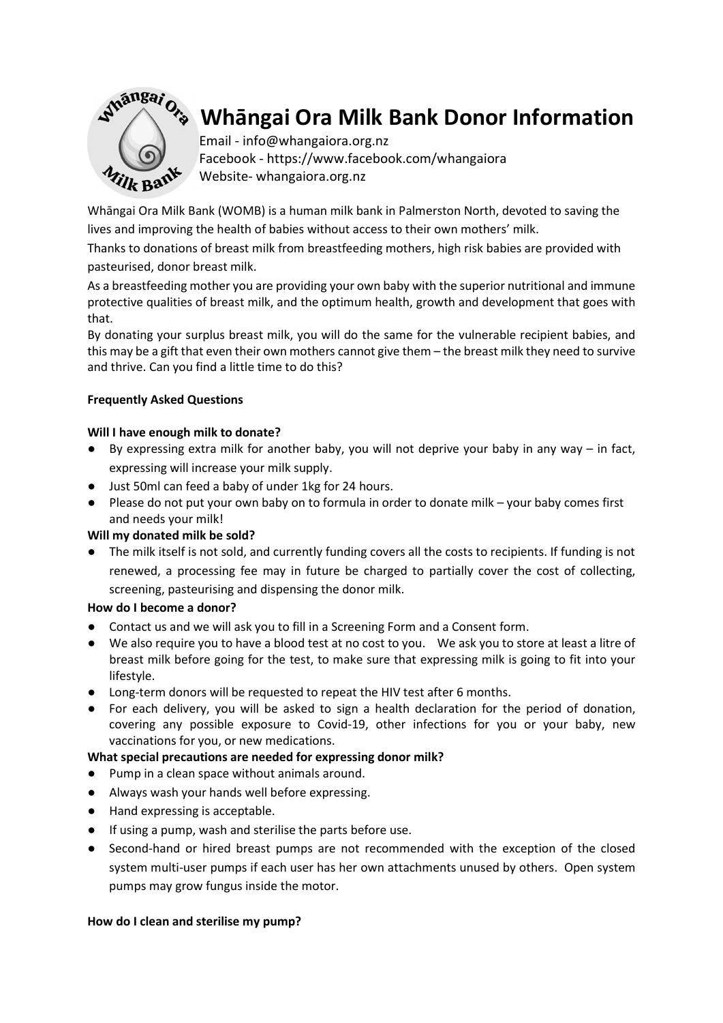

# Whāngai Ora Milk Bank Donor Information

Email - info@whangaiora.org.nz Facebook - https://www.facebook.com/whangaiora Website- whangaiora.org.nz

Whāngai Ora Milk Bank (WOMB) is a human milk bank in Palmerston North, devoted to saving the lives and improving the health of babies without access to their own mothers' milk.

Thanks to donations of breast milk from breastfeeding mothers, high risk babies are provided with pasteurised, donor breast milk.

As a breastfeeding mother you are providing your own baby with the superior nutritional and immune protective qualities of breast milk, and the optimum health, growth and development that goes with that.

By donating your surplus breast milk, you will do the same for the vulnerable recipient babies, and this may be a gift that even their own mothers cannot give them – the breast milk they need to survive and thrive. Can you find a little time to do this?

## Frequently Asked Questions

## Will I have enough milk to donate?

- By expressing extra milk for another baby, you will not deprive your baby in any way in fact, expressing will increase your milk supply.
- Just 50ml can feed a baby of under 1kg for 24 hours.
- Please do not put your own baby on to formula in order to donate milk your baby comes first and needs your milk!

## Will my donated milk be sold?

● The milk itself is not sold, and currently funding covers all the costs to recipients. If funding is not renewed, a processing fee may in future be charged to partially cover the cost of collecting, screening, pasteurising and dispensing the donor milk.

## How do I become a donor?

- Contact us and we will ask you to fill in a Screening Form and a Consent form.
- We also require you to have a blood test at no cost to you. We ask you to store at least a litre of breast milk before going for the test, to make sure that expressing milk is going to fit into your lifestyle.
- Long-term donors will be requested to repeat the HIV test after 6 months.
- For each delivery, you will be asked to sign a health declaration for the period of donation, covering any possible exposure to Covid-19, other infections for you or your baby, new vaccinations for you, or new medications.

## What special precautions are needed for expressing donor milk?

- Pump in a clean space without animals around.
- Always wash your hands well before expressing.
- Hand expressing is acceptable.
- If using a pump, wash and sterilise the parts before use.
- Second-hand or hired breast pumps are not recommended with the exception of the closed system multi-user pumps if each user has her own attachments unused by others. Open system pumps may grow fungus inside the motor.

## How do I clean and sterilise my pump?